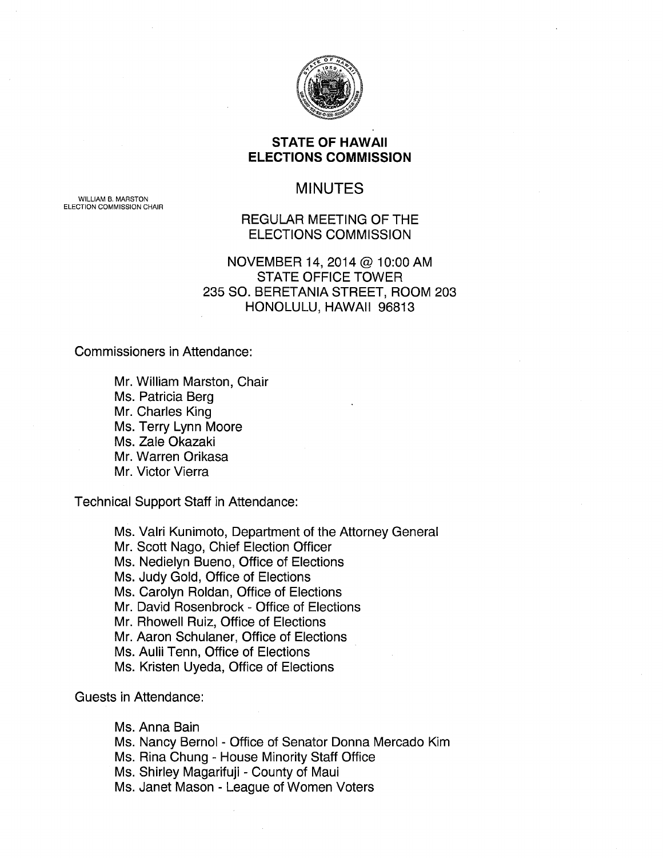

# **STATE OF HAWAII ELECTIONS COMMISSION**

# MINUTES

WILLIAM B. MARSTON ELECTION COMMISSION CHAIR

# REGULAR MEETING OF THE ELECTIONS COMMISSION

# NOVEMBER 14, 2014 @ 10:00 AM STATE OFFICE TOWER 235 SO. BERETANIA STREET, ROOM 203 HONOLULU, HAWAII 96813

Commissioners in Attendance:

Mr. William Marston, Chair Ms. Patricia Berg Mr. Charles King Ms. Terry Lynn Moore Ms. Zale Okazaki Mr. Warren Orikasa Mr. Victor Vierra

Technical Support Staff in Attendance:

Ms. Valri Kunimoto, Department of the Attorney General Mr. Scott Nago, Chief Election Officer Ms. Nedielyn Bueno, Office of Elections Ms. Judy Gold, Office of Elections Ms. Carolyn Roldan, Office of Elections Mr. David Rosenbrock- Office of Elections Mr. Rhowell Ruiz, Office of Elections Mr. Aaron Schulaner, Office of Elections Ms. Aulii Tenn, Office of Elections Ms. Kristen Uyeda, Office of Elections

Guests in Attendance:

Ms. Anna Bain

Ms. Nancy Bernol - Office of Senator Donna Mercado Kim

Ms. Rina Chung - House Minority Staff Office

Ms. Shirley Magarifuji - County of Maui

Ms. Janet Mason - League of Women Voters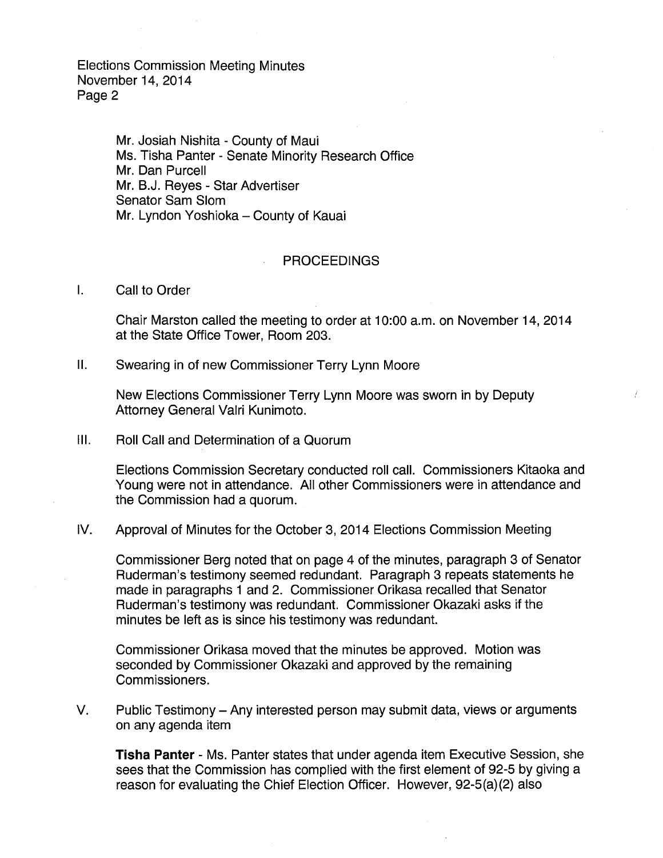> Mr. Josiah Nishita - County of Maui Ms. Tisha Panter - Senate Minority Research Office Mr. Dan Purcell Mr. B.J. Reyes - Star Advertiser Senator Sam Slom Mr. Lyndon Yoshioka - County of Kauai

#### PROCEEDINGS

I. Call to Order

Chair Marston called the meeting to order at 10:00 a.m. on November 14, 2014 at the State Office Tower, Room 203.

II. Swearing in of new Commissioner Terry Lynn Moore

New Elections Commissioner Terry Lynn Moore was sworn in by Deputy Attorney General Valri Kunimoto.

Ill. Roll Call and Determination of a Quorum

Elections Commission Secretary conducted roll call. Commissioners Kitaoka and Young were not in attendance. All other Commissioners were in attendance and the Commission had a quorum.

IV. Approval of Minutes for the October 3, 2014 Elections Commission Meeting

Commissioner Berg noted that on page 4 of the minutes, paragraph 3 of Senator Ruderman's testimony seemed redundant. Paragraph 3 repeats statements he made in paragraphs 1 and 2. Commissioner Orikasa recalled that Senator Ruderman's testimony was redundant. Commissioner Okazaki asks if the minutes be left as is since his testimony was redundant.

Commissioner Orikasa moved that the minutes be approved. Motion was seconded by Commissioner Okazaki and approved by the remaining Commissioners.

V. Public Testimony- Any interested person may submit data, views or arguments on any agenda item

**Tisha Panter-** Ms. Panter states that under agenda item Executive Session, she sees that the Commission has complied with the first element of 92-5 by giving a reason for evaluating the Chief Election Officer. However, 92-5(a)(2) also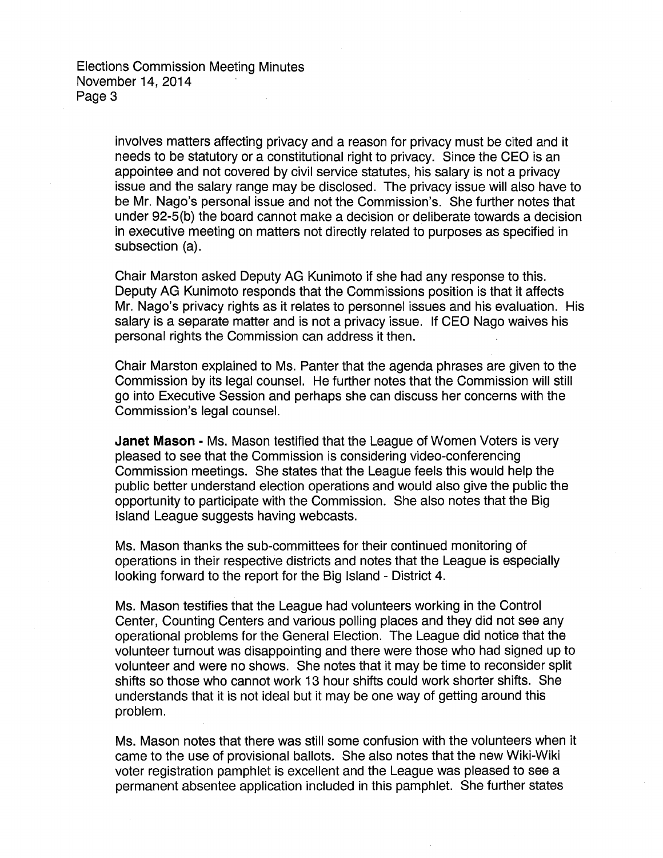involves matters affecting privacy and a reason for privacy must be cited and it needs to be statutory or a constitutional right to privacy. Since the CEO is an appointee and not covered by civil service statutes, his salary is not a privacy issue and the salary range may be disclosed. The privacy issue will also have to be Mr. Nago's personal issue and not the Commission's. She further notes that under 92-S(b) the board cannot make a decision or deliberate towards a decision in executive meeting on matters not directly related to purposes as specified in subsection (a).

Chair Marston asked Deputy AG Kunimoto if she had any response to this. Deputy AG Kunimoto responds that the Commissions position is that it affects Mr. Nago's privacy rights as it relates to personnel issues and his evaluation. His salary is a separate matter and is not a privacy issue. If CEO Nago waives his personal rights the Commission can address it then.

Chair Marston explained to Ms. Panter that the agenda phrases are given to the Commission by its legal counsel. He further notes that the Commission will still go into Executive Session and perhaps she can discuss her concerns with the Commission's legal counsel.

**Janet Mason** - Ms. Mason testified that the League of Women Voters is very pleased to see that the Commission is considering video-conferencing Commission meetings. She states that the League feels this would help the public better understand election operations and would also give the public the opportunity to participate with the Commission. She also notes that the Big Island League suggests having webcasts.

Ms. Mason thanks the sub-committees for their continued monitoring of operations in their respective districts and notes that the League is especially looking forward to the report for the Big Island - District 4.

Ms. Mason testifies that the League had volunteers working in the Control Center, Counting Centers and various polling places and they did not see any operational problems for the General Election. The League did notice that the volunteer turnout was disappointing and there were those who had signed up to volunteer and were no shows. She notes that it may be time to reconsider split shifts so those who cannot work 13 hour shifts could work shorter shifts. She understands that it is not ideal but it may be one way of getting around this problem.

Ms. Mason notes that there was still some confusion with the volunteers when it came to the use of provisional ballots. She also notes that the new Wiki-Wiki voter registration pamphlet is excellent and the League was pleased to see a permanent absentee application included in this pamphlet. She further states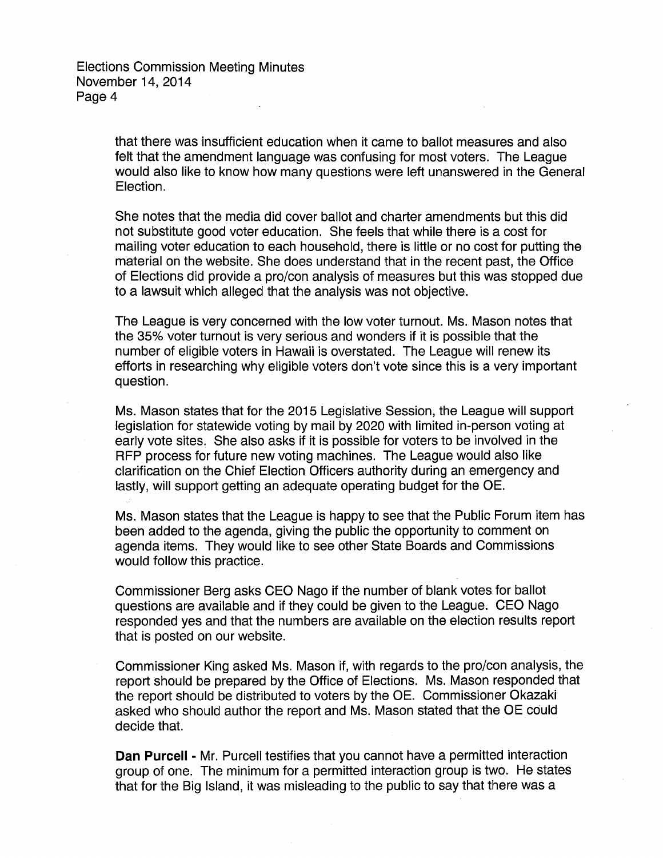> that there was insufficient education when it came to ballot measures and also felt that the amendment language was confusing for most voters. The League would also like to know how many questions were left unanswered in the General Election.

> She notes that the media did cover ballot and charter amendments but this did not substitute good voter education. She feels that while there is a cost for mailing voter education to each household, there is little or no cost for putting the material on the website. She does understand that in the recent past, the Office of Elections did provide a pro/con analysis of measures but this was stopped due to a lawsuit which alleged that the analysis was not objective.

The League is very concerned with the low voter turnout. Ms. Mason notes that the 35% voter turnout is very serious and wonders if it is possible that the number of eligible voters in Hawaii is overstated. The League will renew its efforts in researching why eligible voters don't vote since this is a very important question.

Ms. Mason states that for the 2015 Legislative Session, the League will support legislation for statewide voting by mail by 2020 with limited in-person voting at early vote sites. She also asks if it is possible for voters to be involved in the RFP process for future new voting machines. The League would also like clarification on the Chief Election Officers authority during an emergency and lastly, will support getting an adequate operating budget for the OE.

Ms. Mason states that the League is happy to see that the Public Forum item has been added to the agenda, giving the public the opportunity to comment on agenda items. They would like to see other State Boards and Commissions would follow this practice.

Commissioner Berg asks CEO Nago if the number of blank votes for ballot questions are available and if they could be given to the League. CEO Nago responded yes and that the numbers are available on the election results report that is posted on our website.

Commissioner King asked Ms. Mason if, with regards to the pro/con analysis, the report should be prepared by the Office of Elections. Ms. Mason responded that the report should be distributed to voters by the OE. Commissioner Okazaki asked who should author the report and Ms. Mason stated that the OE could decide that.

**Dan Purcell** - Mr. Purcell testifies that you cannot have a permitted interaction group of one. The minimum for a permitted interaction group is two. He states that for the Big Island, it was misleading to the public to say that there was a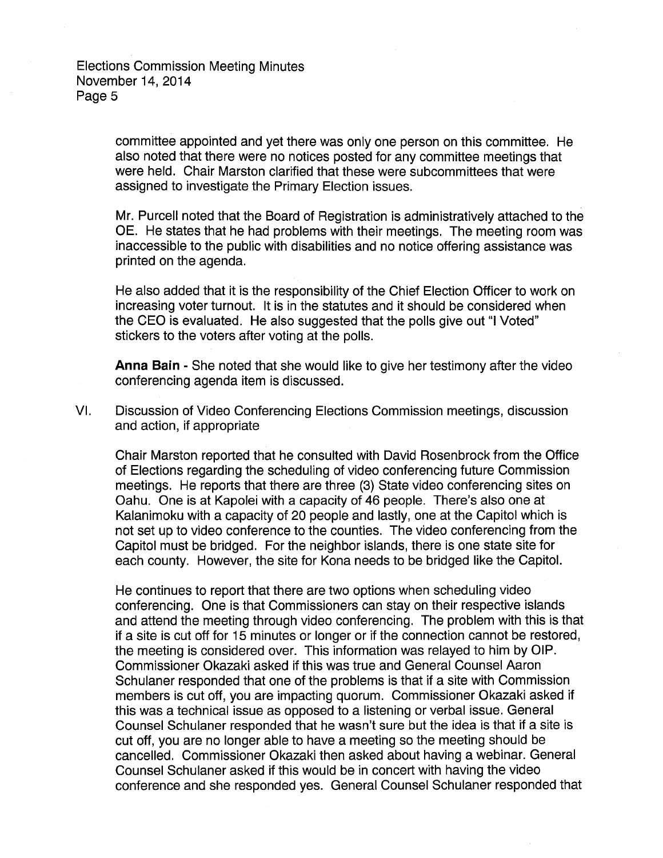committee appointed and yet there was only one person on this committee. He also noted that there were no notices posted for any committee meetings that were held. Chair Marston clarified that these were subcommittees that were assigned to investigate the Primary Election issues.

Mr. Purcell noted that the Board of Registration is administratively attached to the OE. He states that he had problems with their meetings. The meeting room was inaccessible to the public with disabilities and no notice offering assistance was printed on the agenda.

He also added that it is the responsibility of the Chief Election Officer to work on increasing voter turnout. It is in the statutes and it should be considered when the CEO is evaluated. He also suggested that the polls give out "I Voted" stickers to the voters after voting at the polls.

**Anna Bain** - She noted that she would like to give her testimony after the video conferencing agenda item is discussed.

VI. Discussion of Video Conferencing Elections Commission meetings, discussion and action, if appropriate

Chair Marston reported that he consulted with David Rosenbrock from the Office of Elections regarding the scheduling of video conferencing future Commission meetings. He reports that there are three (3) State video conferencing sites on Oahu. One is at Kapolei with a capacity of 46 people. There's also one at Kalanimoku with a capacity of 20 people and lastly, one at the Capitol which is not set up to video conference to the counties. The video conferencing from the Capitol must be bridged. For the neighbor islands, there is one state site for each county. However, the site for Kona needs to be bridged like the Capitol.

He continues to report that there are two options when scheduling video conferencing. One is that Commissioners can stay on their respective islands and attend the meeting through video conferencing. The problem with this is that if a site is cut off for 15 minutes or longer or if the connection cannot be restored, the meeting is considered over. This information was relayed to him by OIP. Commissioner Okazaki asked if this was true and General Counsel Aaron Schulaner responded that one of the problems is that if a site with Commission members is cut off, you are impacting quorum. Commissioner Okazaki asked if this was a technical issue as opposed to a listening or verbal issue. General Counsel Schulaner responded that he wasn't sure but the idea is that if a site is cut off, you are no longer able to have a meeting so the meeting should be cancelled. Commissioner Okazaki then asked about having a webinar. General Counsel Schulaner asked if this would be in concert with having the video conference and she responded yes. General Counsel Schulaner responded that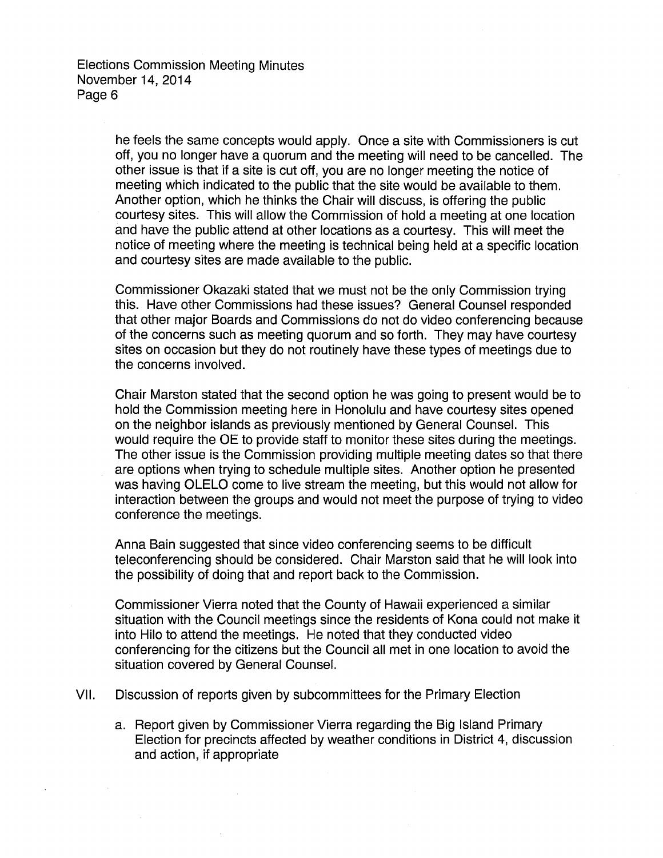he feels the same concepts would apply. Once a site with Commissioners is cut off, you no longer have a quorum and the meeting will need to be cancelled. The other issue is that if a site is cut off, you are no longer meeting the notice of meeting which indicated to the public that the site would be available to them. Another option, which he thinks the Chair will discuss, is offering the public courtesy sites. This will allow the Commission of hold a meeting at one location and have the public attend at other locations as a courtesy. This will meet the notice of meeting where the meeting is technical being held at a specific location and courtesy sites are made available to the public.

Commissioner Okazaki stated that we must not be the only Commission trying this. Have other Commissions had these issues? General Counsel responded that other major Boards and Commissions do not do video conferencing because of the concerns such as meeting quorum and so forth. They may have courtesy sites on occasion but they do not routinely have these types of meetings due to the concerns involved.

Chair Marston stated that the second option he was going to present would be to hold the Commission meeting here in Honolulu and have courtesy sites opened on the neighbor islands as previously mentioned by General Counsel. This would require the OE to provide staff to monitor these sites during the meetings. The other issue is the Commission providing multiple meeting dates so that there are options when trying to schedule multiple sites. Another option he presented was having OLELO come to live stream the meeting, but this would not allow for interaction between the groups and would not meet the purpose of trying to video conference the meetings.

Anna Bain suggested that since video conferencing seems to be difficult teleconferencing should be considered. Chair Marston said that he will look into the possibility of doing that and report back to the Commission.

Commissioner Vierra noted that the County of Hawaii experienced a similar situation with the Council meetings since the residents of Kona could not make it into Hilo to attend the meetings. He noted that they conducted video conferencing for the citizens but the Council all met in one location to avoid the situation covered by General Counsel.

VII. Discussion of reports given by subcommittees for the Primary Election

a. Report given by Commissioner Vierra regarding the Big Island Primary Election for precincts affected by weather conditions in District 4, discussion and action, if appropriate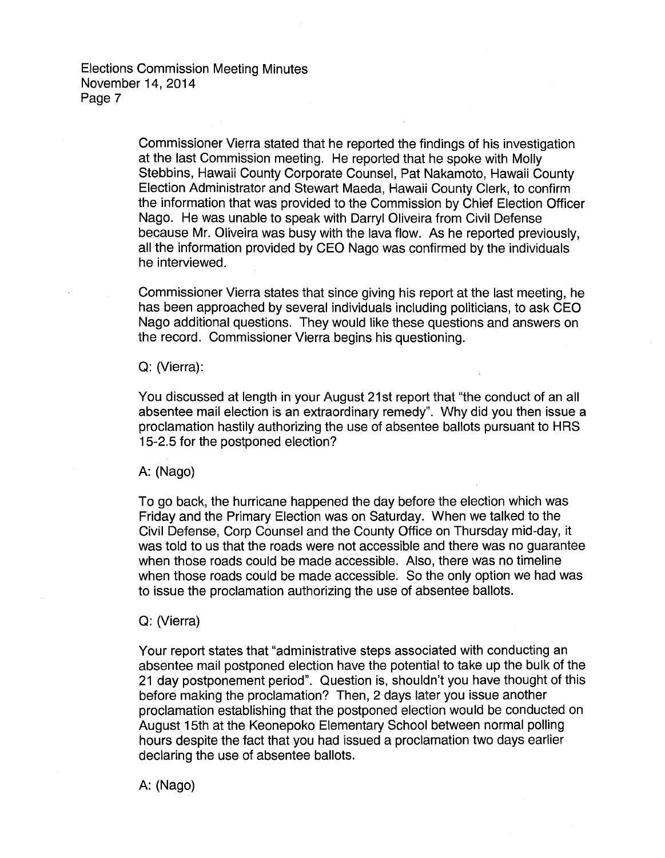Commissioner Vierra stated that he reported the findings of his investigation at the last Commission meeting. He reported that he spoke with Molly Stebbins, Hawaii County Corporate Counsel, Pat Nakamoto, Hawaii County Election Administrator and Stewart Maeda, Hawaii County Clerk, to confirm the information that was provided to the Commission by Chief Election Officer Nago. He was unable to speak with Darryl Oliveira from Civil Defense because Mr. Oliveira was busy with the lava flow. As he reported previously, all the information provided by CEO Nago was confirmed by the individuals he interviewed.

Commissioner Vierra states that since giving his report at the last meeting, he has been approached by several individuals including politicians, to ask CEO Nago additional questions. They would like these questions and answers on the record. Commissioner Vierra begins his questioning.

#### Q: (Vierra):

You discussed at length in your August 21st report that "the conduct of an all absentee mail election is an extraordinary remedy". Why did you then issue a proclamation hastily authorizing the use of absentee ballots pursuant to HRS 15-2.5 for the postponed election?

A: (Nago)

To go back, the hurricane happened the day before the election which was Friday and the Primary Election was on Saturday. When we talked to the Civil Defense, Corp Counsel and the County Office on Thursday mid-day, it was told to us that the roads were not accessible and there was no guarantee when those roads could be made accessible. Also, there was no timeline when those roads could be made accessible. So the only option we had was to issue the proclamation authorizing the use of absentee ballots.

#### Q: (Vierra)

Your report states that "administrative steps associated with conducting an absentee mail postponed election have the potential to take up the bulk of the 21 day postponement period". Question is, shouldn't you have thought of this before making the proclamation? Then, 2 days later you issue another proclamation establishing that the postponed election would be conducted on August 15th at the Keonepoko Elementary School between normal polling hours despite the fact that you had issued a proclamation two days earlier declaring the use of absentee ballots.

A: (Nago)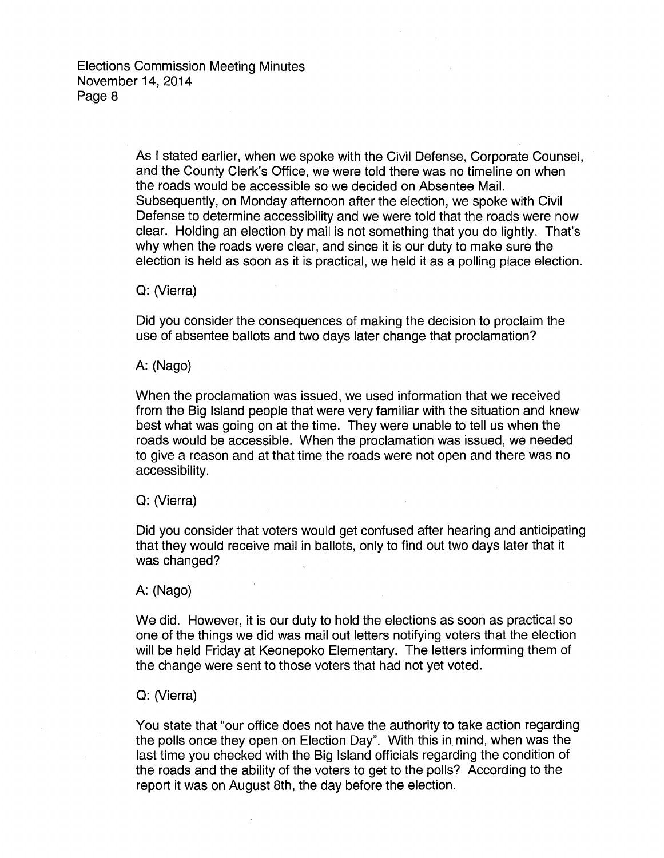As I stated earlier, when we spoke with the Civil Defense, Corporate Counsel, and the County Clerk's Office, we were told there was no timeline on when the roads would be accessible so we decided on Absentee Mail. Subsequently, on Monday afternoon after the election, we spoke with Civil Defense to determine accessibility and we were told that the roads were now clear. Holding an election by mail is not something that you do lightly. That's why when the roads were clear, and since it is our duty to make sure the election is held as soon as it is practical, we held it as a polling place election.

## Q: (Vierra)

Did you consider the consequences of making the decision to proclaim the use of absentee ballots and two days later change that proclamation?

### A: (Nago)

When the proclamation was issued, we used information that we received from the Big Island people that were very familiar with the situation and knew best what was going on at the time. They were unable to tell us when the roads would be accessible. When the proclamation was issued, we needed to give a reason and at that time the roads were not open and there was no accessibility.

### Q: (Vierra)

Did you consider that voters would get confused after hearing and anticipating that they would receive mail in ballots, only to find out two days later that it was changed?

#### A: (Nago)

We did. However, it is our duty to hold the elections as soon as practical so one of the things we did was mail out letters notifying voters that the election will be held Friday at Keonepoko Elementary. The letters informing them of the change were sent to those voters that had not yet voted.

### Q: (Vierra)

You state that "our office does not have the authority to take action regarding the polls once they open on Election Day". With this in mind, when was the last time you checked with the Big Island officials regarding the condition of the roads and the ability of the voters to get to the polls? According to the report it was on August 8th, the day before the election.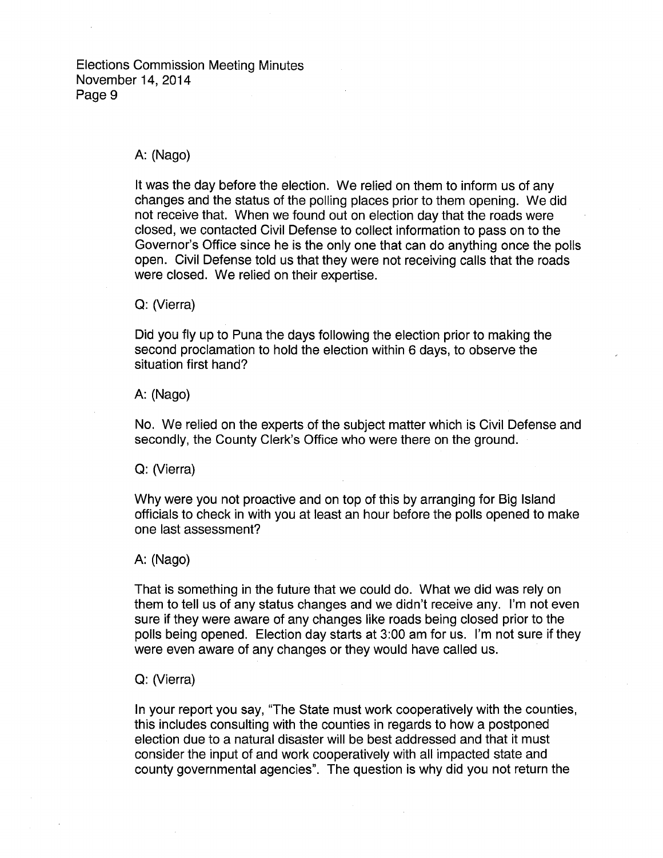### A: (Nago)

It was the day before the election. We relied on them to inform us of any changes and the status of the polling places prior to them opening. We did not receive that. When we found out on election day that the roads were closed, we contacted Civil Defense to collect information to pass on to the Governor's Office since he is the only one that can do anything once the polls open. Civil Defense told us that they were not receiving calls that the roads were closed. We relied on their expertise.

#### Q: (Vierra)

Did you fly up to Puna the days following the election prior to making the second proclamation to hold the election within 6 days, to observe the situation first hand?

#### A: (Nago)

No. We relied on the experts of the subject matter which is Civil Defense and secondly, the County Clerk's Office who were there on the ground.

Q: (Vierra)

Why were you not proactive and on top of this by arranging for Big Island officials to check in with you at least an hour before the polls opened to make one last assessment?

#### A: (Nago)

That is something in the future that we could do. What we did was rely on them to tell us of any status changes and we didn't receive any. I'm not even sure if they were aware of any changes like roads being closed prior to the polls being opened. Election day starts at 3:00 am for us. I'm not sure if they were even aware of any changes or they would have called us.

## Q: (Vierra)

In your report you say, "The State must work cooperatively with the counties, this includes consulting with the counties in regards to how a postponed election due to a natural disaster will be best addressed and that it must consider the input of and work cooperatively with all impacted state and county governmental agencies". The question is why did you not return the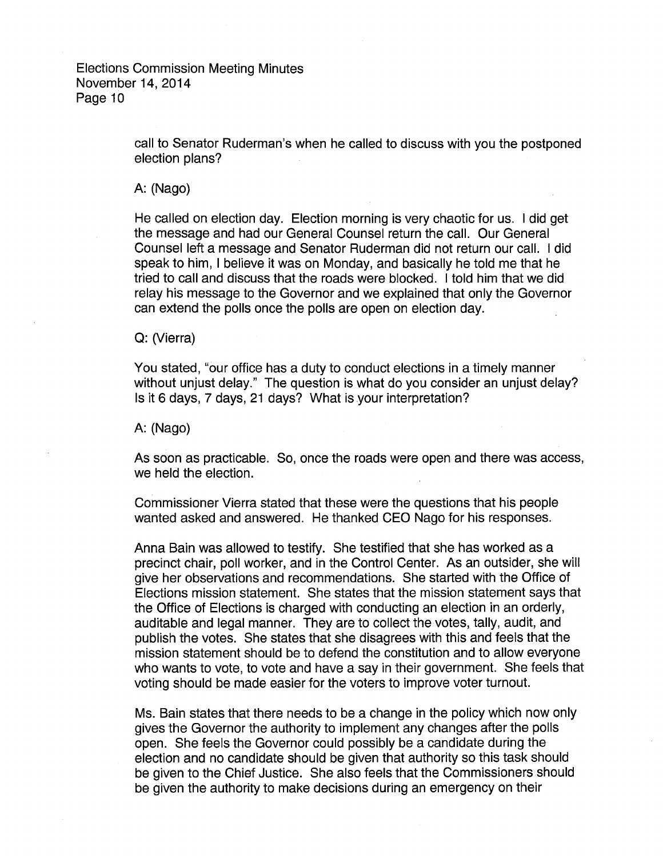call to Senator Ruderman's when he called to discuss with you the postponed election plans?

A: (Nago)

He called on election day. Election morning is very chaotic for us. I did get the message and had our General Counsel return the call. Our General Counsel left a message and Senator Ruderman did not return our call. I did speak to him, I believe it was on Monday, and basically he told me that he tried to call and discuss that the roads were blocked. I told him that we did relay his message to the Governor and we explained that only the Governor can extend the polls once the polls are open on election day.

#### Q: (Vierra)

You stated, "our office has a duty to conduct elections in a timely manner without unjust delay." The question is what do you consider an unjust delay? Is it 6 days, 7 days, 21 days? What is your interpretation?

A: (Nago)

As soon as practicable. So, once the roads were open and there was access, we held the election.

Commissioner Vierra stated that these were the questions that his people wanted asked and answered. He thanked CEO Nago for his responses.

Anna Bain was allowed to testify. She testified that she has worked as a precinct chair, poll worker, and in the Control Center. As an outsider, she will give her observations and recommendations. She started with the Office of Elections mission statement. She states that the mission statement says that the Office of Elections is charged with conducting an election in an orderly, auditable and legal manner. They are to collect the votes, tally, audit, and publish the votes. She states that she disagrees with this and feels that the mission statement should be to defend the constitution and to allow everyone who wants to vote, to vote and have a say in their government. She feels that voting should be made easier for the voters to improve voter turnout.

Ms. Bain states that there needs to be a change in the policy which now only gives the Governor the authority to implement any changes after the polls open. She feels the Governor could possibly be a candidate during the election and no candidate should be given that authority so this task should be given to the Chief Justice. She also feels that the Commissioners should be given the authority to make decisions during an emergency on their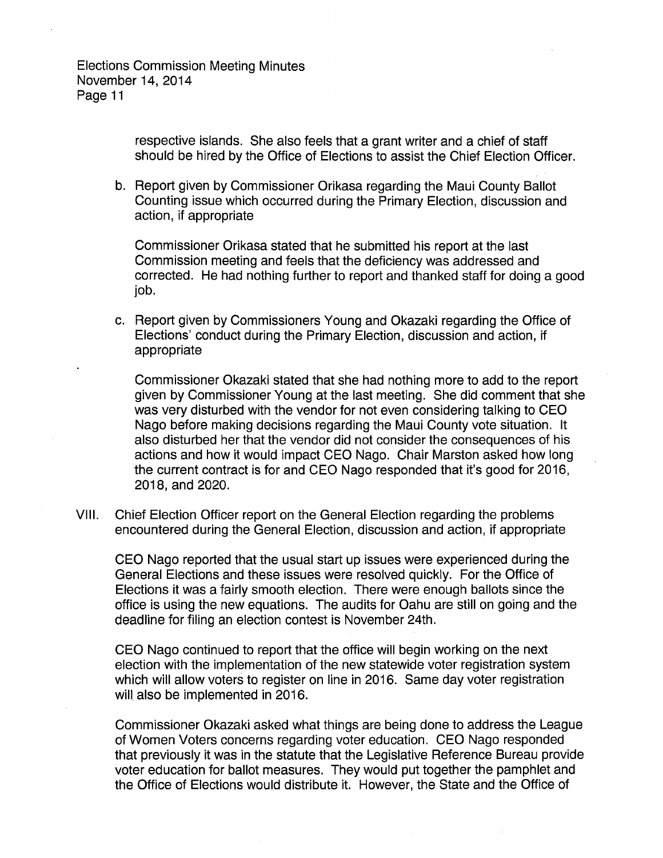respective islands. She also feels that a grant writer and a chief of staff should be hired by the Office of Elections to assist the Chief Election Officer.

b. Report given by Commissioner Orikasa regarding the Maui County Ballot Counting issue which occurred during the Primary Election, discussion and action, if appropriate

Commissioner Orikasa stated that he submitted his report at the last Commission meeting and feels that the deficiency was addressed and corrected. He had nothing further to report and thanked staff for doing a good job.

c. Report given by Commissioners Young and Okazaki regarding the Office of Elections' conduct during the Primary Election, discussion and action, if appropriate

Commissioner Okazaki stated that she had nothing more to add to the report given by Commissioner Young at the last meeting. She did comment that she was very disturbed with the vendor for not even considering talking to CEO Nago before making decisions regarding the Maui County vote situation. It also disturbed her that the vendor did not consider the consequences of his actions and how it would impact CEO Nago. Chair Marston asked how long the current contract is for and CEO Nago responded that it's good for 2016, 2018, and 2020.

VIII. Chief Election Officer report on the General Election regarding the problems encountered during the General Election, discussion and action, if appropriate

CEO Nago reported that the usual start up issues were experienced during the General Elections and these issues were resolved quickly. For the Office of Elections it was a fairly smooth election. There were enough ballots since the office is using the new equations. The audits for Oahu are still on going and the deadline for filing an election contest is November 24th.

CEO Nago continued to report that the office will begin working on the next election with the implementation of the new statewide voter registration system which will allow voters to register on line in 2016. Same day voter registration will also be implemented in 2016.

Commissioner Okazaki asked what things are being done to address the League of Women Voters concerns regarding voter education. CEO Nago responded that previously it was in the statute that the Legislative Reference Bureau provide voter education for ballot measures. They would put together the pamphlet and the Office of Elections would distribute it. However, the State and the Office of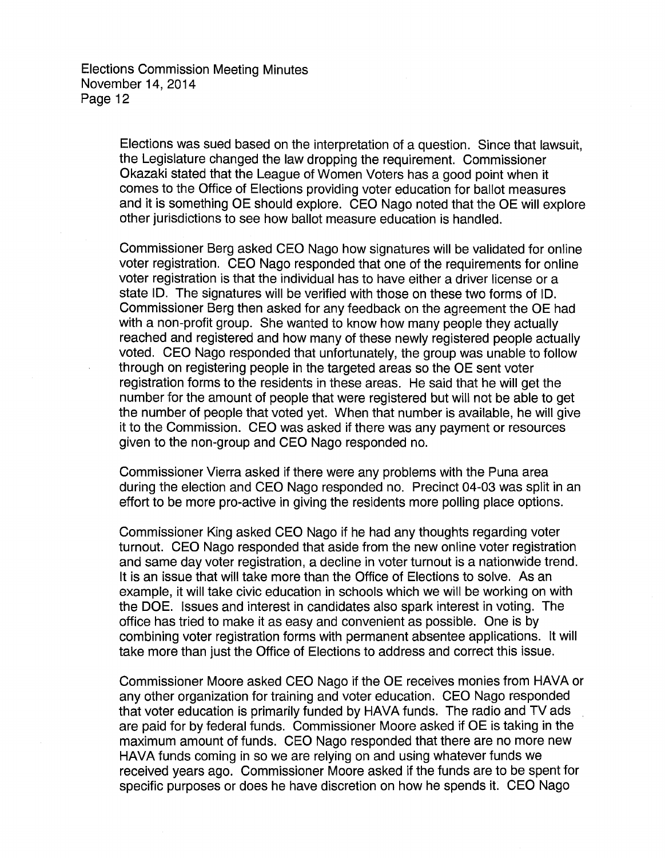> Elections was sued based on the interpretation of a question. Since that lawsuit, the Legislature changed the law dropping the requirement. Commissioner Okazaki stated that the League of Women Voters has a good point when it comes to the Office of Elections providing voter education for ballot measures and it is something OE should explore. CEO Nago noted that the OE will explore other jurisdictions to see how ballot measure education is handled.

> Commissioner Berg asked CEO Nago how signatures will be validated for online voter registration. CEO Nago responded that one of the requirements for online voter registration is that the individual has to have either a driver license or a state ID. The signatures will be verified with those on these two forms of ID. Commissioner Berg then asked for any feedback on the agreement the OE had with a non-profit group. She wanted to know how many people they actually reached and registered and how many of these newly registered people actually voted. CEO Nago responded that unfortunately, the group was unable to follow through on registering people in the targeted areas so the OE sent voter registration forms to the residents in these areas. He said that he will get the number for the amount of people that were registered but will not be able to get the number of people that voted yet. When that number is available, he will give it to the Commission. CEO was asked if there was any payment or resources given to the non-group and CEO Nago responded no.

> Commissioner Vierra asked if there were any problems with the Puna area during the election and CEO Nago responded no. Precinct 04-03 was split in an effort to be more pro-active in giving the residents more polling place options.

> Commissioner King asked CEO Nago if he had any thoughts regarding voter turnout. CEO Nago responded that aside from the new online voter registration and same day voter registration, a decline in voter turnout is a nationwide trend. It is an issue that will take more than the Office of Elections to solve. As an example, it will take civic education in schools which we will be working on with the DOE. Issues and interest in candidates also spark interest in voting. The office has tried to make it as easy and convenient as possible. One is by combining voter registration forms with permanent absentee applications. It will take more than just the Office of Elections to address and correct this issue.

Commissioner Moore asked CEO Nago if the OE receives monies from HAVA or any other organization for training and voter education. CEO Nago responded that voter education is primarily funded by HAVA funds. The radio and TV ads are paid for by federal funds. Commissioner Moore asked if OE is taking in the maximum amount of funds. CEO Nago responded that there are no more new HAVA funds coming in so we are relying on and using whatever funds we received years ago. Commissioner Moore asked if the funds are to be spent for specific purposes or does he have discretion on how he spends it. CEO Nago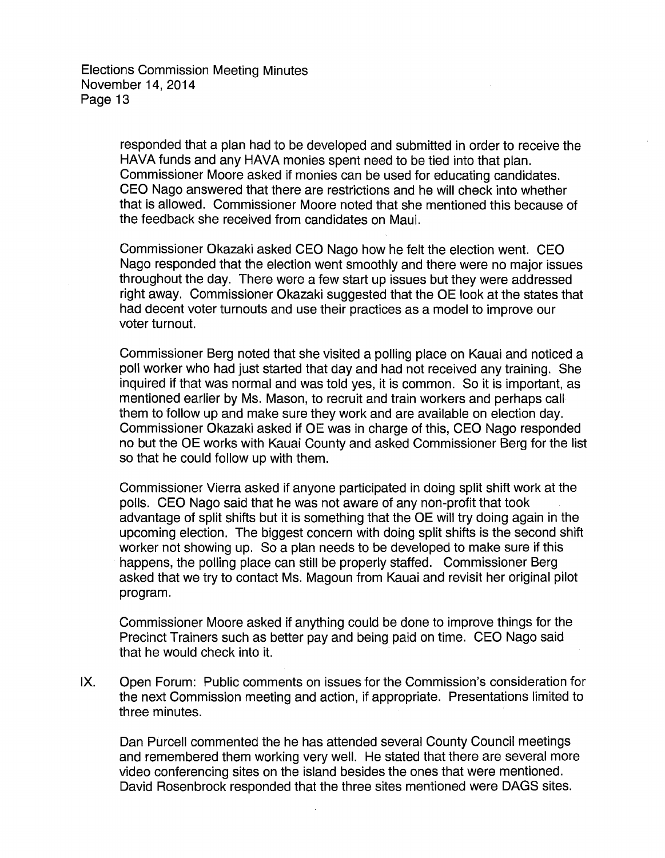> responded that a plan had to be developed and submitted in order to receive the HAVA funds and any HAVA monies spent need to be tied into that plan. Commissioner Moore asked if monies can be used for educating candidates. CEO Nago answered that there are restrictions and he will check into whether that is allowed. Commissioner Moore noted that she mentioned this because of the feedback she received from candidates on Maui.

> Commissioner Okazaki asked CEO Nago how he felt the election went. CEO Nago responded that the election went smoothly and there were no major issues throughout the day. There were a few start up issues but they were addressed right away. Commissioner Okazaki suggested that the OE look at the states that had decent voter turnouts and use their practices as a model to improve our voter turnout.

> Commissioner Berg noted that she visited a polling place on Kauai and noticed a poll worker who had just started that day and had not received any training. She inquired if that was normal and was told yes, it is common. So it is important, as mentioned earlier by Ms. Mason, to recruit and train workers and perhaps call them to follow up and make sure they work and are available on election day. Commissioner Okazaki asked if OE was in charge of this, CEO Nago responded no but the OE works with Kauai County and asked Commissioner Berg for the list so that he could follow up with them.

> Commissioner Vierra asked if anyone participated in doing split shift work at the polls. CEO Nago said that he was not aware of any non-profit that took advantage of split shifts but it is something that the OE will try doing again in the upcoming election. The biggest concern with doing split shifts is the second shift worker not showing up. So a plan needs to be developed to make sure if this happens, the polling place can still be properly staffed. Commissioner Berg asked that we try to contact Ms. Magoun from Kauai and revisit her original pilot program.

Commissioner Moore asked if anything could be done to improve things for the Precinct Trainers such as better pay and being paid on time. CEO Nago said that he would check into it.

IX. Open Forum: Public comments on issues for the Commission's consideration for the next Commission meeting and action, if appropriate. Presentations limited to three minutes.

Dan Purcell commented the he has attended several County Council meetings and remembered them working very well. He stated that there are several more video conferencing sites on the island besides the ones that were mentioned. David Rosenbrock responded that the three sites mentioned were DAGS sites.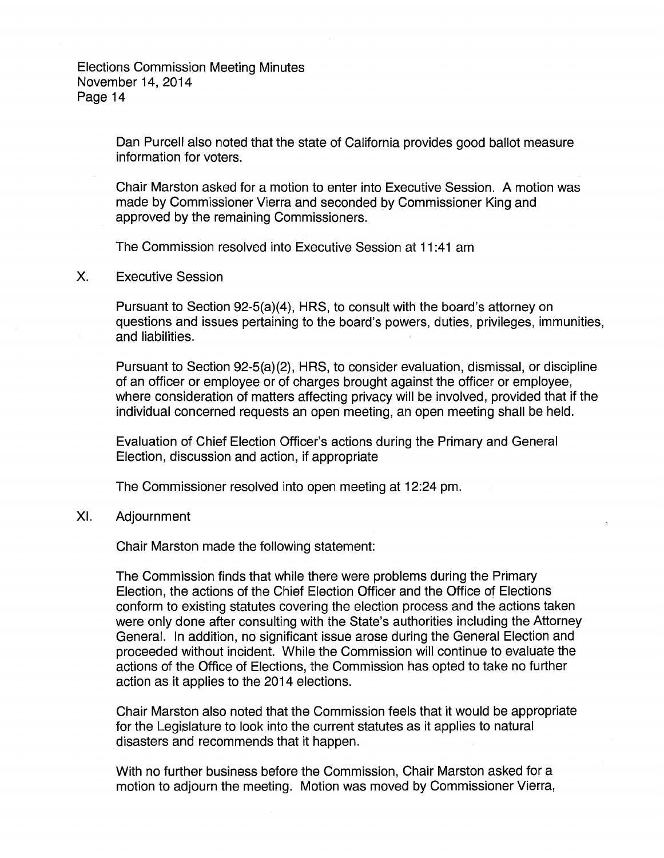> Dan Purcell also noted that the state of California provides good ballot measure information for voters.

Chair Marston asked for a motion to enter into Executive Session. A motion was made by Commissioner Vierra and seconded by Commissioner King and approved by the remaining Commissioners.

The Commission resolved into Executive Session at 11 :41 am

X. Executive Session

Pursuant to Section 92-5(a)(4), HRS, to consult with the board's attorney on questions and issues pertaining to the board's powers, duties, privileges, immunities, and liabilities.

Pursuant to Section 92-5(a)(2}, HRS, to consider evaluation, dismissal, or discipline of an officer or employee or of charges brought against the officer or employee, where consideration of matters affecting privacy will be involved, provided that if the individual concerned requests an open meeting, an open meeting shall be held.

Evaluation of Chief Election Officer's actions during the Primary and General Election, discussion and action, if appropriate

The Commissioner resolved into open meeting at 12:24 pm.

XI. Adjournment

Chair Marston made the following statement:

The Commission finds that while there were problems during the Primary Election, the actions of the Chief Election Officer and the Office of Elections conform to existing statutes covering the election process and the actions taken were only done after consulting with the State's authorities including the Attorney General. In addition, no significant issue arose during the General Election and proceeded without incident. While the Commission will continue to evaluate the actions of the Office of Elections, the Commission has opted to take no further action as it applies to the 2014 elections.

Chair Marston also noted that the Commission feels that it would be appropriate for the Legislature to look into the current statutes as it applies to natural disasters and recommends that it happen.

With no further business before the Commission, Chair Marston asked for a motion to adjourn the meeting. Motion was moved by Commissioner Vierra,